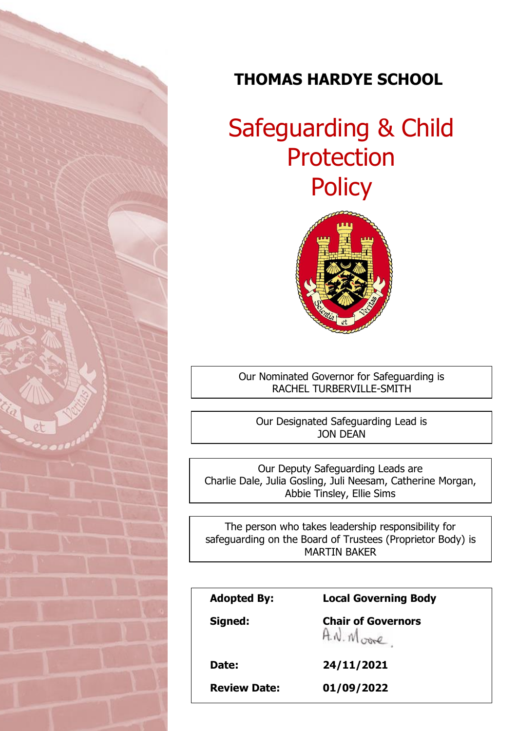

# **THOMAS HARDYE SCHOOL**

# Safeguarding & Child Protection **Policy**



Our Nominated Governor for Safeguarding is RACHEL TURBERVILLE-SMITH

Our Designated Safeguarding Lead is JON DEAN

Our Deputy Safeguarding Leads are Charlie Dale, Julia Gosling, Juli Neesam, Catherine Morgan, Abbie Tinsley, Ellie Sims

The person who takes leadership responsibility for safeguarding on the Board of Trustees (Proprietor Body) is MARTIN BAKER

| <b>Adopted By:</b>  | <b>Local Governing Body</b>             |
|---------------------|-----------------------------------------|
| Signed:             | <b>Chair of Governors</b><br>A.N. Moore |
| Date:               | 24/11/2021                              |
| <b>Review Date:</b> | 01/09/2022                              |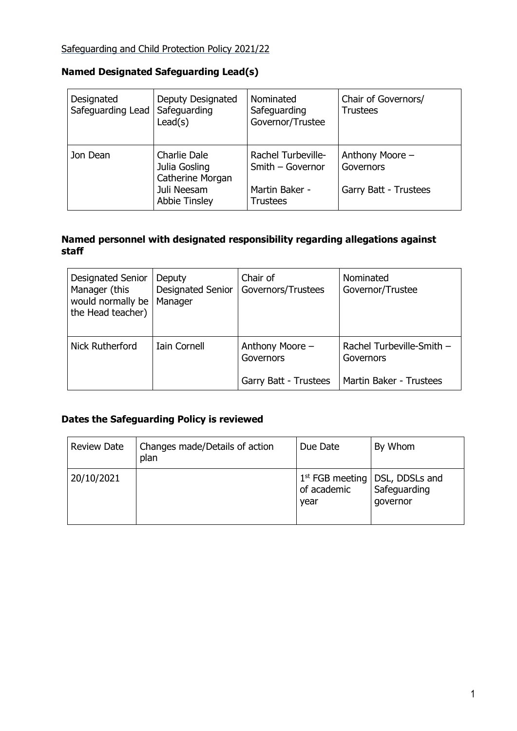# **Named Designated Safeguarding Lead(s)**

| Designated<br>Safeguarding Lead | Deputy Designated<br>Safeguarding<br>Lead(s)                                             | Nominated<br>Safeguarding<br>Governor/Trustee                               | Chair of Governors/<br><b>Trustees</b>                |
|---------------------------------|------------------------------------------------------------------------------------------|-----------------------------------------------------------------------------|-------------------------------------------------------|
| Jon Dean                        | Charlie Dale<br>Julia Gosling<br>Catherine Morgan<br>Juli Neesam<br><b>Abbie Tinsley</b> | Rachel Turbeville-<br>Smith - Governor<br>Martin Baker -<br><b>Trustees</b> | Anthony Moore -<br>Governors<br>Garry Batt - Trustees |

# **Named personnel with designated responsibility regarding allegations against staff**

| Designated Senior<br>Manager (this<br>would normally be<br>the Head teacher) | Deputy<br>Designated Senior<br>Manager | Chair of<br>Governors/Trustees                        | Nominated<br>Governor/Trustee                                     |
|------------------------------------------------------------------------------|----------------------------------------|-------------------------------------------------------|-------------------------------------------------------------------|
| Nick Rutherford                                                              | <b>Iain Cornell</b>                    | Anthony Moore -<br>Governors<br>Garry Batt - Trustees | Rachel Turbeville-Smith -<br>Governors<br>Martin Baker - Trustees |

# **Dates the Safeguarding Policy is reviewed**

| <b>Review Date</b> | Changes made/Details of action<br>plan | Due Date            | By Whom                                                          |
|--------------------|----------------------------------------|---------------------|------------------------------------------------------------------|
| 20/10/2021         |                                        | of academic<br>year | $1st$ FGB meeting $ $ DSL, DDSLs and<br>Safeguarding<br>qovernor |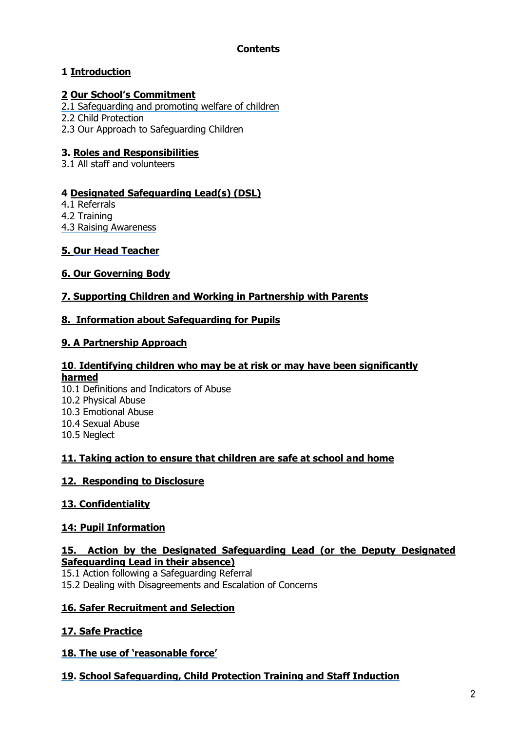# **Contents**

# **1 Introduction**

# **2 Our School's [Commitment](#page-4-0)**

2.1 Safeguarding and promoting welfare of children 2.2 Child Protection 2.3 Our Approach to Safeguarding Children

# **3. Roles and [Responsibilities](#page-5-0)**

3.1 All staff and volunteers

# **4 Designated Safeguarding Lead(s) (DSL)**

4.1 Referrals

4.2 Training

4.3 Raising Awareness

# **5. Our Head Teacher**

# **6. Our Governing Body**

# **7. Supporting Children and Working in Partnership with Parents**

# **8. Information about Safeguarding for Pupils**

# **9. A Partnership Approach**

#### **10**. **Identifying children who may be at risk or may have been significantly harmed**

10.1 Definitions and Indicators of Abuse 10.2 Physical Abuse 10.3 Emotional Abuse 10.4 Sexual Abuse 10.5 Neglect

# **11. Taking action to ensure that children are safe at school and home**

# **12. Responding to Disclosure**

# **13. Confidentiality**

# **14: Pupil Information**

# **15. Action by the Designated Safeguarding Lead (or the Deputy Designated Safeguarding Lead in their absence)**

15.1 Action following a Safeguarding Referral

15.2 Dealing with Disagreements and Escalation of Concerns

# **16. Safer Recruitment and Selection**

# **17. Safe Practice**

# **18. The use of 'reasonable force'**

# **19. School Safeguarding, Child Protection Training and Staff Induction**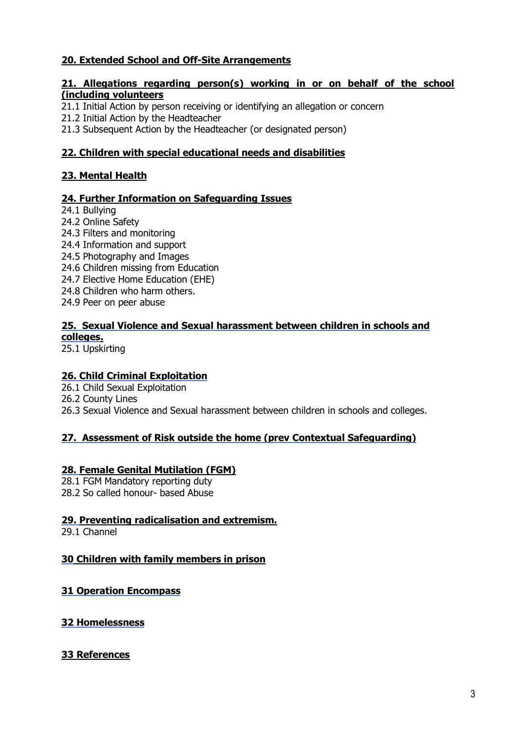# **20. Extended School and Off-Site Arrangements**

#### **21. Allegations regarding person(s) working in or on behalf of the school (including volunteers**

21.1 Initial Action by person receiving or identifying an allegation or concern

21.2 Initial Action by the Headteacher

21.3 Subsequent Action by the Headteacher (or designated person)

#### **22. Children with special educational needs and disabilities**

# **23. Mental Health**

#### **24. Further Information on Safeguarding Issues**

24.1 Bullying 24.2 Online Safety 24.3 Filters and monitoring 24.4 Information and support 24.5 Photography and Images 24.6 Children missing from Education 24.7 Elective Home Education (EHE) 24.8 Children who harm others. 24.9 Peer on peer abuse

### **25. Sexual Violence and Sexual harassment between children in schools and colleges.**

25.1 Upskirting

# **26. Child Criminal Exploitation**

26.1 Child Sexual Exploitation

26.2 County Lines

26.3 Sexual Violence and Sexual harassment between children in schools and colleges.

# **27. Assessment of Risk outside the home (prev Contextual Safeguarding)**

#### **28. Female Genital Mutilation (FGM)**

28.1 FGM Mandatory reporting duty 28.2 So called honour- based Abuse

#### **29. Preventing radicalisation and extremism.**

29.1 Channel

#### **30 Children with family members in prison**

# **31 Operation Encompass**

# **32 Homelessness**

#### **33 References**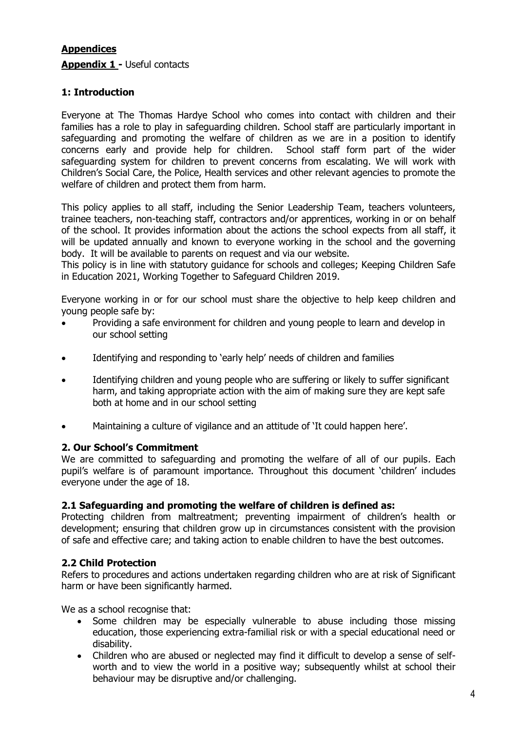# **Appendices**

**Appendix 1 -** Useful contacts

# **1: Introduction**

Everyone at The Thomas Hardye School who comes into contact with children and their families has a role to play in safeguarding children. School staff are particularly important in safeguarding and promoting the welfare of children as we are in a position to identify concerns early and provide help for children. School staff form part of the wider safeguarding system for children to prevent concerns from escalating. We will work with Children's Social Care, the Police, Health services and other relevant agencies to promote the welfare of children and protect them from harm.

This policy applies to all staff, including the Senior Leadership Team, teachers volunteers, trainee teachers, non-teaching staff, contractors and/or apprentices, working in or on behalf of the school. It provides information about the actions the school expects from all staff, it will be updated annually and known to everyone working in the school and the governing body. It will be available to parents on request and via our website.

This policy is in line with statutory guidance for schools and colleges; Keeping Children Safe in Education 2021, Working Together to Safeguard Children 2019.

Everyone working in or for our school must share the objective to help keep children and young people safe by:

- Providing a safe environment for children and young people to learn and develop in our school setting
- Identifying and responding to 'early help' needs of children and families
- Identifying children and young people who are suffering or likely to suffer significant harm, and taking appropriate action with the aim of making sure they are kept safe both at home and in our school setting
- <span id="page-4-0"></span>Maintaining a culture of vigilance and an attitude of 'It could happen here'.

#### **2. Our School's Commitment**

We are committed to safeguarding and promoting the welfare of all of our pupils. Each pupil's welfare is of paramount importance. Throughout this document 'children' includes everyone under the age of 18.

#### **2.1 Safeguarding and promoting the welfare of children is defined as:**

Protecting children from maltreatment; preventing impairment of children's health or development; ensuring that children grow up in circumstances consistent with the provision of safe and effective care; and taking action to enable children to have the best outcomes.

#### **2.2 Child Protection**

Refers to procedures and actions undertaken regarding children who are at risk of Significant harm or have been significantly harmed.

We as a school recognise that:

- Some children may be especially vulnerable to abuse including those missing education, those experiencing extra-familial risk or with a special educational need or disability.
- Children who are abused or neglected may find it difficult to develop a sense of selfworth and to view the world in a positive way; subsequently whilst at school their behaviour may be disruptive and/or challenging.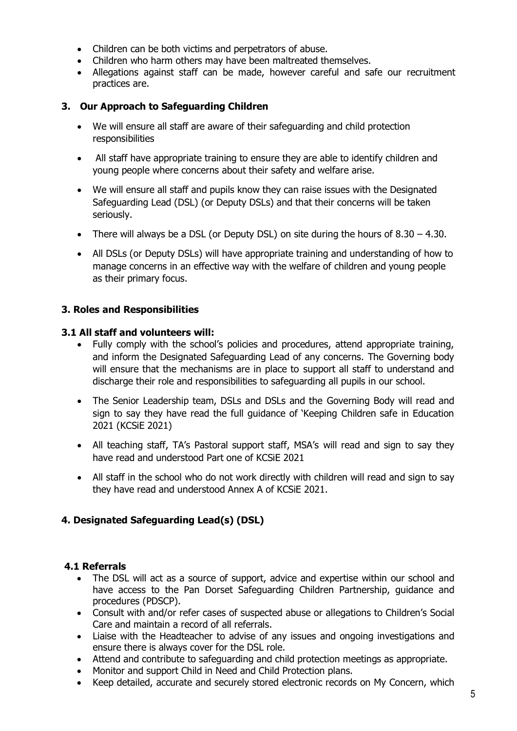- Children can be both victims and perpetrators of abuse.
- Children who harm others may have been maltreated themselves.
- Allegations against staff can be made, however careful and safe our recruitment practices are.

# **3. Our Approach to Safeguarding Children**

- We will ensure all staff are aware of their safeguarding and child protection responsibilities
- All staff have appropriate training to ensure they are able to identify children and young people where concerns about their safety and welfare arise.
- We will ensure all staff and pupils know they can raise issues with the Designated Safeguarding Lead (DSL) (or Deputy DSLs) and that their concerns will be taken seriously.
- There will always be a DSL (or Deputy DSL) on site during the hours of  $8.30 4.30$ .
- All DSLs (or Deputy DSLs) will have appropriate training and understanding of how to manage concerns in an effective way with the welfare of children and young people as their primary focus.

#### <span id="page-5-0"></span>**3. Roles and Responsibilities**

#### **3.1 All staff and volunteers will:**

- Fully comply with the school's policies and procedures, attend appropriate training, and inform the Designated Safeguarding Lead of any concerns. The Governing body will ensure that the mechanisms are in place to support all staff to understand and discharge their role and responsibilities to safeguarding all pupils in our school.
- The Senior Leadership team, DSLs and DSLs and the Governing Body will read and sign to say they have read the full guidance of 'Keeping Children safe in Education 2021 (KCSiE 2021)
- All teaching staff, TA's Pastoral support staff, MSA's will read and sign to say they have read and understood Part one of KCSiE 2021
- All staff in the school who do not work directly with children will read and sign to say they have read and understood Annex A of KCSiE 2021.

# **4. Designated Safeguarding Lead(s) (DSL)**

#### **4.1 Referrals**

- The DSL will act as a source of support, advice and expertise within our school and have access to the Pan Dorset Safeguarding Children Partnership, guidance and procedures (PDSCP).
- Consult with and/or refer cases of suspected abuse or allegations to Children's Social Care and maintain a record of all referrals.
- Liaise with the Headteacher to advise of any issues and ongoing investigations and ensure there is always cover for the DSL role.
- Attend and contribute to safeguarding and child protection meetings as appropriate.
- Monitor and support Child in Need and Child Protection plans.
- Keep detailed, accurate and securely stored electronic records on My Concern, which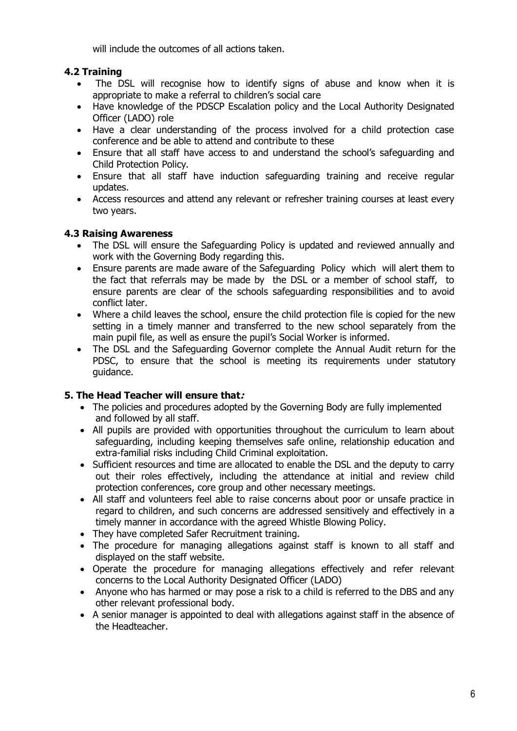will include the outcomes of all actions taken.

### **4.2 Training**

- The DSL will recognise how to identify signs of abuse and know when it is appropriate to make a referral to children's social care
- Have knowledge of the PDSCP Escalation policy and the Local Authority Designated Officer (LADO) role
- Have a clear understanding of the process involved for a child protection case conference and be able to attend and contribute to these
- Ensure that all staff have access to and understand the school's safeguarding and Child Protection Policy.
- Ensure that all staff have induction safeguarding training and receive regular updates.
- Access resources and attend any relevant or refresher training courses at least every two years.

#### **4.3 Raising Awareness**

- The DSL will ensure the Safeguarding Policy is updated and reviewed annually and work with the Governing Body regarding this.
- Ensure parents are made aware of the Safeguarding Policy which will alert them to the fact that referrals may be made by the DSL or a member of school staff, to ensure parents are clear of the schools safeguarding responsibilities and to avoid conflict later.
- Where a child leaves the school, ensure the child protection file is copied for the new setting in a timely manner and transferred to the new school separately from the main pupil file, as well as ensure the pupil's Social Worker is informed.
- The DSL and the Safeguarding Governor complete the Annual Audit return for the PDSC, to ensure that the school is meeting its requirements under statutory guidance.

# **5. The Head Teacher will ensure that:**

- The policies and procedures adopted by the Governing Body are fully implemented and followed by all staff.
- All pupils are provided with opportunities throughout the curriculum to learn about safeguarding, including keeping themselves safe online, relationship education and extra-familial risks including Child Criminal exploitation.
- Sufficient resources and time are allocated to enable the DSL and the deputy to carry out their roles effectively, including the attendance at initial and review child protection conferences, core group and other necessary meetings.
- All staff and volunteers feel able to raise concerns about poor or unsafe practice in regard to children, and such concerns are addressed sensitively and effectively in a timely manner in accordance with the agreed Whistle Blowing Policy.
- They have completed Safer Recruitment training.
- The procedure for managing allegations against staff is known to all staff and displayed on the staff website.
- Operate the procedure for managing allegations effectively and refer relevant concerns to the Local Authority Designated Officer (LADO)
- Anyone who has harmed or may pose a risk to a child is referred to the DBS and any other relevant professional body.
- A senior manager is appointed to deal with allegations against staff in the absence of the Headteacher.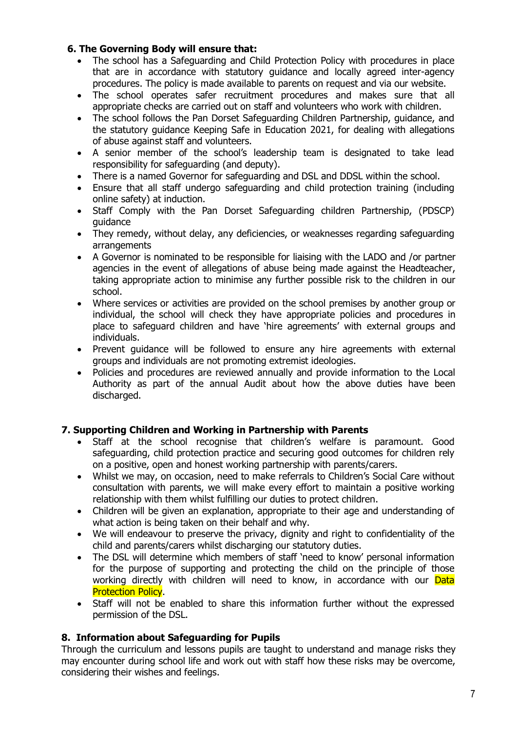#### **6. The Governing Body will ensure that:**

- The school has a Safeguarding and Child Protection Policy with procedures in place that are in accordance with statutory guidance and locally agreed inter-agency procedures. The policy is made available to parents on request and via our website.
- The school operates safer recruitment procedures and makes sure that all appropriate checks are carried out on staff and volunteers who work with children.
- The school follows the Pan Dorset Safeguarding Children Partnership, guidance, and the statutory guidance Keeping Safe in Education 2021, for dealing with allegations of abuse against staff and volunteers.
- A senior member of the school's leadership team is designated to take lead responsibility for safeguarding (and deputy).
- There is a named Governor for safeguarding and DSL and DDSL within the school.
- Ensure that all staff undergo safeguarding and child protection training (including online safety) at induction.
- Staff Comply with the Pan Dorset Safeguarding children Partnership, (PDSCP) guidance
- They remedy, without delay, any deficiencies, or weaknesses regarding safeguarding arrangements
- A Governor is nominated to be responsible for liaising with the LADO and /or partner agencies in the event of allegations of abuse being made against the Headteacher, taking appropriate action to minimise any further possible risk to the children in our school.
- Where services or activities are provided on the school premises by another group or individual, the school will check they have appropriate policies and procedures in place to safeguard children and have 'hire agreements' with external groups and individuals.
- Prevent guidance will be followed to ensure any hire agreements with external groups and individuals are not promoting extremist ideologies.
- Policies and procedures are reviewed annually and provide information to the Local Authority as part of the annual Audit about how the above duties have been discharged.

#### **7. Supporting Children and Working in Partnership with Parents**

- Staff at the school recognise that children's welfare is paramount. Good safeguarding, child protection practice and securing good outcomes for children rely on a positive, open and honest working partnership with parents/carers.
- Whilst we may, on occasion, need to make referrals to Children's Social Care without consultation with parents, we will make every effort to maintain a positive working relationship with them whilst fulfilling our duties to protect children.
- Children will be given an explanation, appropriate to their age and understanding of what action is being taken on their behalf and why.
- We will endeavour to preserve the privacy, dignity and right to confidentiality of the child and parents/carers whilst discharging our statutory duties.
- The DSL will determine which members of staff 'need to know' personal information for the purpose of supporting and protecting the child on the principle of those working directly with children will need to know, in accordance with our Data Protection Policy.
- Staff will not be enabled to share this information further without the expressed permission of the DSL.

# **8. Information about Safeguarding for Pupils**

Through the curriculum and lessons pupils are taught to understand and manage risks they may encounter during school life and work out with staff how these risks may be overcome, considering their wishes and feelings.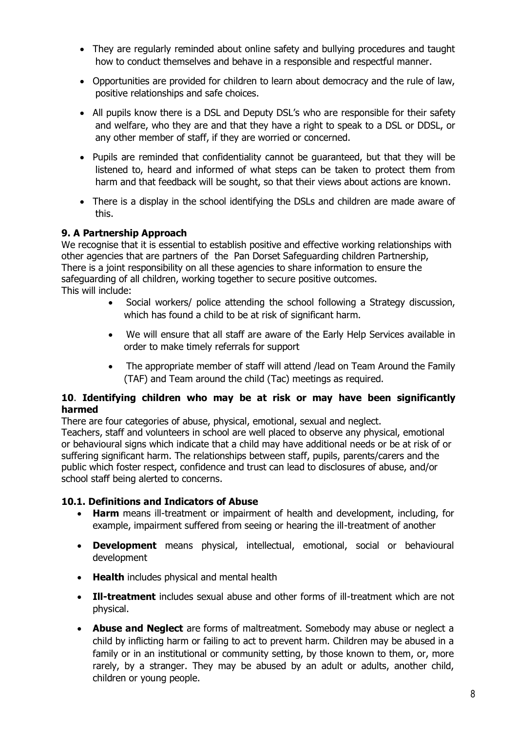- They are regularly reminded about online safety and bullying procedures and taught how to conduct themselves and behave in a responsible and respectful manner.
- Opportunities are provided for children to learn about democracy and the rule of law, positive relationships and safe choices.
- All pupils know there is a DSL and Deputy DSL's who are responsible for their safety and welfare, who they are and that they have a right to speak to a DSL or DDSL, or any other member of staff, if they are worried or concerned.
- Pupils are reminded that confidentiality cannot be guaranteed, but that they will be listened to, heard and informed of what steps can be taken to protect them from harm and that feedback will be sought, so that their views about actions are known.
- There is a display in the school identifying the DSLs and children are made aware of this.

# **9. A Partnership Approach**

We recognise that it is essential to establish positive and effective working relationships with other agencies that are partners of the Pan Dorset Safeguarding children Partnership, There is a joint responsibility on all these agencies to share information to ensure the safeguarding of all children, working together to secure positive outcomes. This will include:

- Social workers/ police attending the school following a Strategy discussion, which has found a child to be at risk of significant harm.
- We will ensure that all staff are aware of the Early Help Services available in order to make timely referrals for support
- The appropriate member of staff will attend /lead on Team Around the Family (TAF) and Team around the child (Tac) meetings as required.

#### **10**. **Identifying children who may be at risk or may have been significantly harmed**

There are four categories of abuse, physical, emotional, sexual and neglect.

Teachers, staff and volunteers in school are well placed to observe any physical, emotional or behavioural signs which indicate that a child may have additional needs or be at risk of or suffering significant harm. The relationships between staff, pupils, parents/carers and the public which foster respect, confidence and trust can lead to disclosures of abuse, and/or school staff being alerted to concerns.

#### **10.1. Definitions and Indicators of Abuse**

- **Harm** means ill-treatment or impairment of health and development, including, for example, impairment suffered from seeing or hearing the ill-treatment of another
- **Development** means physical, intellectual, emotional, social or behavioural development
- **Health** includes physical and mental health
- **Ill-treatment** includes sexual abuse and other forms of ill-treatment which are not physical.
- **Abuse and Neglect** are forms of maltreatment. Somebody may abuse or neglect a child by inflicting harm or failing to act to prevent harm. Children may be abused in a family or in an institutional or community setting, by those known to them, or, more rarely, by a stranger. They may be abused by an adult or adults, another child, children or young people.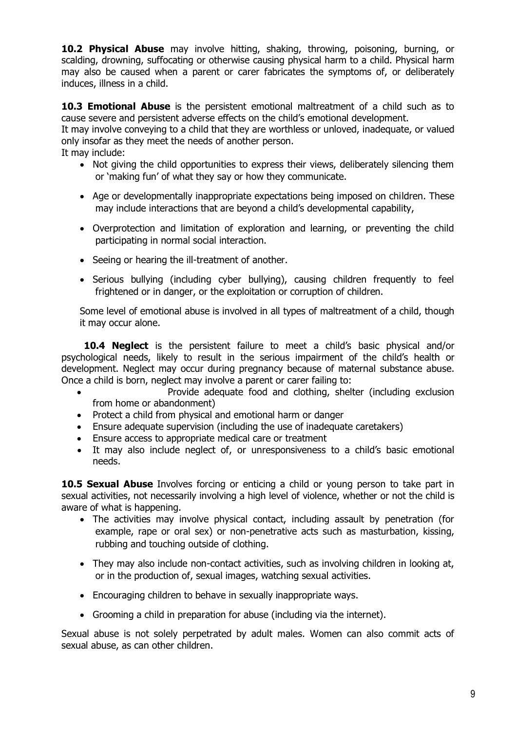**10.2 Physical Abuse** may involve hitting, shaking, throwing, poisoning, burning, or scalding, drowning, suffocating or otherwise causing physical harm to a child. Physical harm may also be caused when a parent or carer fabricates the symptoms of, or deliberately induces, illness in a child.

**10.3 Emotional Abuse** is the persistent emotional maltreatment of a child such as to cause severe and persistent adverse effects on the child's emotional development.

It may involve conveying to a child that they are worthless or unloved, inadequate, or valued only insofar as they meet the needs of another person.

It may include:

- Not giving the child opportunities to express their views, deliberately silencing them or 'making fun' of what they say or how they communicate.
- Age or developmentally inappropriate expectations being imposed on children. These may include interactions that are beyond a child's developmental capability,
- Overprotection and limitation of exploration and learning, or preventing the child participating in normal social interaction.
- Seeing or hearing the ill-treatment of another.
- Serious bullying (including cyber bullying), causing children frequently to feel frightened or in danger, or the exploitation or corruption of children.

Some level of emotional abuse is involved in all types of maltreatment of a child, though it may occur alone.

 **10.4 Neglect** is the persistent failure to meet a child's basic physical and/or psychological needs, likely to result in the serious impairment of the child's health or development. Neglect may occur during pregnancy because of maternal substance abuse. Once a child is born, neglect may involve a parent or carer failing to:

- Provide adequate food and clothing, shelter (including exclusion from home or abandonment)
- Protect a child from physical and emotional harm or danger
- Ensure adequate supervision (including the use of inadequate caretakers)
- Ensure access to appropriate medical care or treatment
- It may also include neglect of, or unresponsiveness to a child's basic emotional needs.

**10.5 Sexual Abuse** Involves forcing or enticing a child or young person to take part in sexual activities, not necessarily involving a high level of violence, whether or not the child is aware of what is happening.

- The activities may involve physical contact, including assault by penetration (for example, rape or oral sex) or non-penetrative acts such as masturbation, kissing, rubbing and touching outside of clothing.
- They may also include non-contact activities, such as involving children in looking at, or in the production of, sexual images, watching sexual activities.
- Encouraging children to behave in sexually inappropriate ways.
- Grooming a child in preparation for abuse (including via the internet).

Sexual abuse is not solely perpetrated by adult males. Women can also commit acts of sexual abuse, as can other children.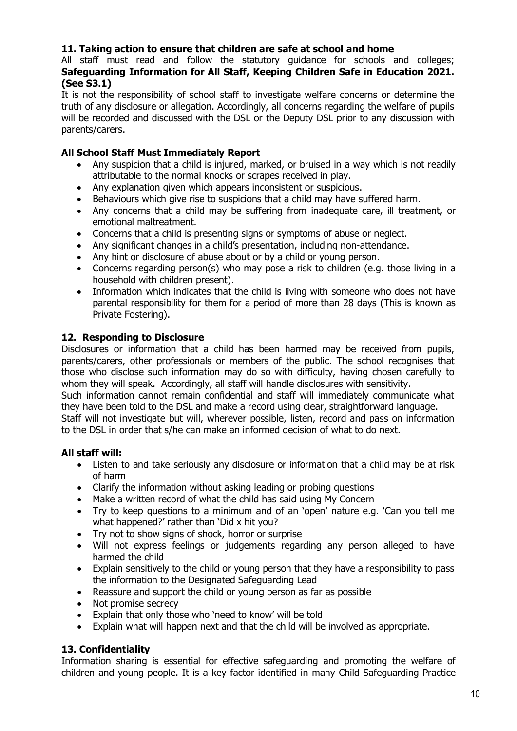#### **11. Taking action to ensure that children are safe at school and home**

All staff must read and follow the statutory guidance for schools and colleges; **Safeguarding Information for All Staff, Keeping Children Safe in Education 2021. (See S3.1)**

It is not the responsibility of school staff to investigate welfare concerns or determine the truth of any disclosure or allegation. Accordingly, all concerns regarding the welfare of pupils will be recorded and discussed with the DSL or the Deputy DSL prior to any discussion with parents/carers.

#### **All School Staff Must Immediately Report**

- Any suspicion that a child is injured, marked, or bruised in a way which is not readily attributable to the normal knocks or scrapes received in play.
- Any explanation given which appears inconsistent or suspicious.
- Behaviours which give rise to suspicions that a child may have suffered harm.
- Any concerns that a child may be suffering from inadequate care, ill treatment, or emotional maltreatment.
- Concerns that a child is presenting signs or symptoms of abuse or neglect.
- Any significant changes in a child's presentation, including non-attendance.
- Any hint or disclosure of abuse about or by a child or young person.
- Concerns regarding person(s) who may pose a risk to children (e.g. those living in a household with children present).
- Information which indicates that the child is living with someone who does not have parental responsibility for them for a period of more than 28 days (This is known as Private Fostering).

#### **12. Responding to Disclosure**

Disclosures or information that a child has been harmed may be received from pupils, parents/carers, other professionals or members of the public. The school recognises that those who disclose such information may do so with difficulty, having chosen carefully to whom they will speak. Accordingly, all staff will handle disclosures with sensitivity.

Such information cannot remain confidential and staff will immediately communicate what they have been told to the DSL and make a record using clear, straightforward language.

Staff will not investigate but will, wherever possible, listen, record and pass on information to the DSL in order that s/he can make an informed decision of what to do next.

# **All staff will:**

- Listen to and take seriously any disclosure or information that a child may be at risk of harm
- Clarify the information without asking leading or probing questions
- Make a written record of what the child has said using My Concern
- Try to keep questions to a minimum and of an 'open' nature e.g. 'Can you tell me what happened?' rather than 'Did x hit you?
- Try not to show signs of shock, horror or surprise
- Will not express feelings or judgements regarding any person alleged to have harmed the child
- Explain sensitively to the child or young person that they have a responsibility to pass the information to the Designated Safeguarding Lead
- Reassure and support the child or young person as far as possible
- Not promise secrecy
- Explain that only those who 'need to know' will be told
- Explain what will happen next and that the child will be involved as appropriate.

# **13. Confidentiality**

Information sharing is essential for effective safeguarding and promoting the welfare of children and young people. It is a key factor identified in many Child Safeguarding Practice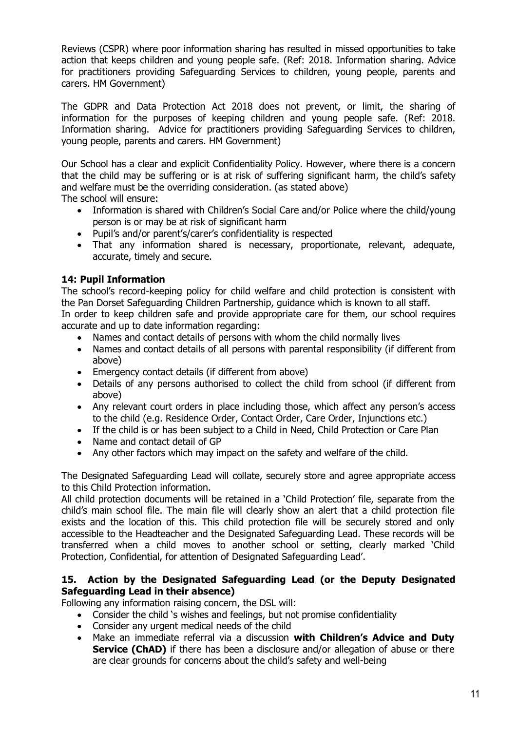Reviews (CSPR) where poor information sharing has resulted in missed opportunities to take action that keeps children and young people safe. (Ref: 2018. Information sharing. Advice for practitioners providing Safeguarding Services to children, young people, parents and carers. HM Government)

The GDPR and Data Protection Act 2018 does not prevent, or limit, the sharing of information for the purposes of keeping children and young people safe. (Ref: 2018. Information sharing. Advice for practitioners providing Safeguarding Services to children, young people, parents and carers. HM Government)

Our School has a clear and explicit Confidentiality Policy. However, where there is a concern that the child may be suffering or is at risk of suffering significant harm, the child's safety and welfare must be the overriding consideration. (as stated above) The school will ensure:

- Information is shared with Children's Social Care and/or Police where the child/young person is or may be at risk of significant harm
- Pupil's and/or parent's/carer's confidentiality is respected
- That any information shared is necessary, proportionate, relevant, adequate, accurate, timely and secure.

# **14: Pupil Information**

The school's record-keeping policy for child welfare and child protection is consistent with the Pan Dorset Safeguarding Children Partnership, guidance which is known to all staff. In order to keep children safe and provide appropriate care for them, our school requires accurate and up to date information regarding:

- Names and contact details of persons with whom the child normally lives
- Names and contact details of all persons with parental responsibility (if different from above)
- Emergency contact details (if different from above)
- Details of any persons authorised to collect the child from school (if different from above)
- Any relevant court orders in place including those, which affect any person's access to the child (e.g. Residence Order, Contact Order, Care Order, Injunctions etc.)
- If the child is or has been subject to a Child in Need, Child Protection or Care Plan
- Name and contact detail of GP
- Any other factors which may impact on the safety and welfare of the child.

The Designated Safeguarding Lead will collate, securely store and agree appropriate access to this Child Protection information.

All child protection documents will be retained in a 'Child Protection' file, separate from the child's main school file. The main file will clearly show an alert that a child protection file exists and the location of this. This child protection file will be securely stored and only accessible to the Headteacher and the Designated Safeguarding Lead. These records will be transferred when a child moves to another school or setting, clearly marked 'Child Protection, Confidential, for attention of Designated Safeguarding Lead'.

#### **15. Action by the Designated Safeguarding Lead (or the Deputy Designated Safeguarding Lead in their absence)**

Following any information raising concern, the DSL will:

- Consider the child 's wishes and feelings, but not promise confidentiality
- Consider any urgent medical needs of the child
- Make an immediate referral via a discussion **with Children's Advice and Duty Service (ChAD)** if there has been a disclosure and/or allegation of abuse or there are clear grounds for concerns about the child's safety and well-being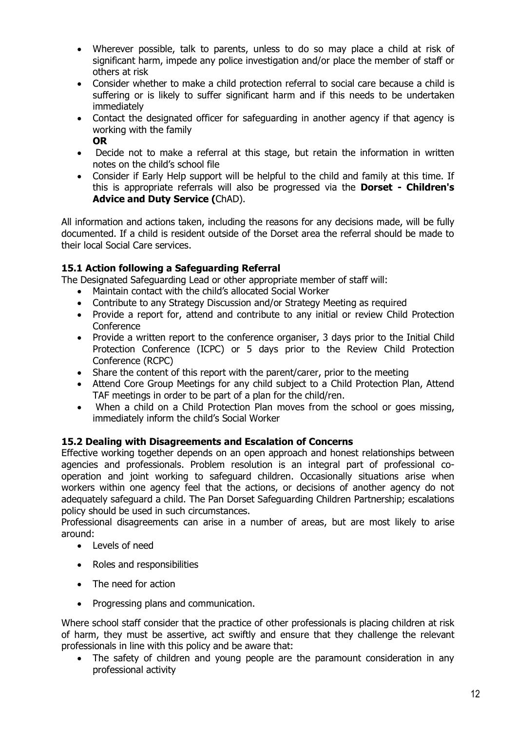- Wherever possible, talk to parents, unless to do so may place a child at risk of significant harm, impede any police investigation and/or place the member of staff or others at risk
- Consider whether to make a child protection referral to social care because a child is suffering or is likely to suffer significant harm and if this needs to be undertaken immediately
- Contact the designated officer for safeguarding in another agency if that agency is working with the family **OR**
- Decide not to make a referral at this stage, but retain the information in written notes on the child's school file
- Consider if Early Help support will be helpful to the child and family at this time. If this is appropriate referrals will also be progressed via the **Dorset - Children's Advice and Duty Service (**ChAD).

All information and actions taken, including the reasons for any decisions made, will be fully documented. If a child is resident outside of the Dorset area the referral should be made to their local Social Care services.

# **15.1 Action following a Safeguarding Referral**

The Designated Safeguarding Lead or other appropriate member of staff will:

- Maintain contact with the child's allocated Social Worker
- Contribute to any Strategy Discussion and/or Strategy Meeting as required
- Provide a report for, attend and contribute to any initial or review Child Protection Conference
- Provide a written report to the conference organiser, 3 days prior to the Initial Child Protection Conference (ICPC) or 5 days prior to the Review Child Protection Conference (RCPC)
- Share the content of this report with the parent/carer, prior to the meeting
- Attend Core Group Meetings for any child subject to a Child Protection Plan, Attend TAF meetings in order to be part of a plan for the child/ren.
- When a child on a Child Protection Plan moves from the school or goes missing, immediately inform the child's Social Worker

#### **15.2 Dealing with Disagreements and Escalation of Concerns**

Effective working together depends on an open approach and honest relationships between agencies and professionals. Problem resolution is an integral part of professional cooperation and joint working to safeguard children. Occasionally situations arise when workers within one agency feel that the actions, or decisions of another agency do not adequately safeguard a child. The Pan Dorset Safeguarding Children Partnership; escalations policy should be used in such circumstances.

Professional disagreements can arise in a number of areas, but are most likely to arise around:

- Levels of need
- Roles and responsibilities
- The need for action
- Progressing plans and communication.

Where school staff consider that the practice of other professionals is placing children at risk of harm, they must be assertive, act swiftly and ensure that they challenge the relevant professionals in line with this policy and be aware that:

• The safety of children and young people are the paramount consideration in any professional activity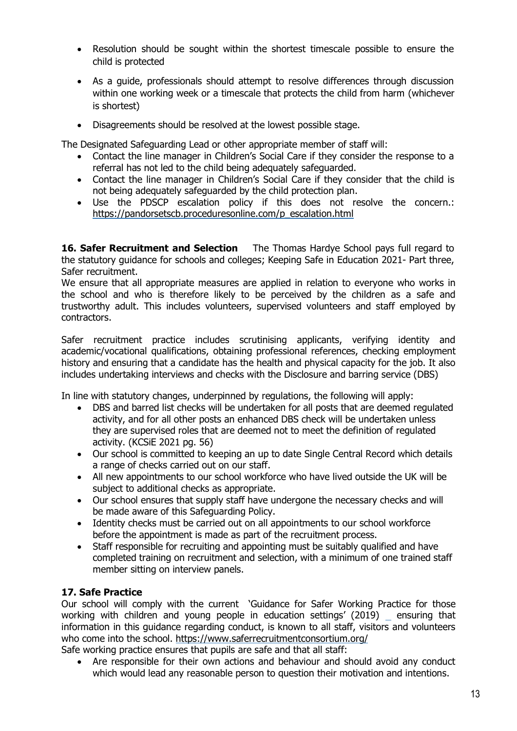- Resolution should be sought within the shortest timescale possible to ensure the child is protected
- As a guide, professionals should attempt to resolve differences through discussion within one working week or a timescale that protects the child from harm (whichever is shortest)
- Disagreements should be resolved at the lowest possible stage.

The Designated Safeguarding Lead or other appropriate member of staff will:

- Contact the line manager in Children's Social Care if they consider the response to a referral has not led to the child being adequately safeguarded.
- Contact the line manager in Children's Social Care if they consider that the child is not being adequately safeguarded by the child protection plan.
- Use the PDSCP escalation policy if this does not resolve the concern.: [https://pandorsetscb.proceduresonline.com/p\\_escalation.html](https://pandorsetscb.proceduresonline.com/p_escalation.html)

**16. Safer Recruitment and Selection** The Thomas Hardye School pays full regard to the statutory guidance for schools and colleges; Keeping Safe in Education 2021- Part three, Safer recruitment.

We ensure that all appropriate measures are applied in relation to everyone who works in the school and who is therefore likely to be perceived by the children as a safe and trustworthy adult. This includes volunteers, supervised volunteers and staff employed by contractors.

Safer recruitment practice includes scrutinising applicants, verifying identity and academic/vocational qualifications, obtaining professional references, checking employment history and ensuring that a candidate has the health and physical capacity for the job. It also includes undertaking interviews and checks with the Disclosure and barring service (DBS)

In line with statutory changes, underpinned by regulations, the following will apply:

- DBS and barred list checks will be undertaken for all posts that are deemed regulated activity, and for all other posts an enhanced DBS check will be undertaken unless they are supervised roles that are deemed not to meet the definition of regulated activity. (KCSiE 2021 pg. 56)
- Our school is committed to keeping an up to date Single Central Record which details a range of checks carried out on our staff.
- All new appointments to our school workforce who have lived outside the UK will be subject to additional checks as appropriate.
- Our school ensures that supply staff have undergone the necessary checks and will be made aware of this Safeguarding Policy.
- Identity checks must be carried out on all appointments to our school workforce before the appointment is made as part of the recruitment process.
- Staff responsible for recruiting and appointing must be suitably qualified and have completed training on recruitment and selection, with a minimum of one trained staff member sitting on interview panels.

# **17. Safe Practice**

Our school will comply with the current '[Guidance](http://www.safeguardinginschools.co.uk/wp-content/uploads/2015/10/Guidance-for-Safer-Working-Practices-2015-final1.pdf) for Safer Working Practice for those working with children and young people in [education](http://www.safeguardinginschools.co.uk/wp-content/uploads/2015/10/Guidance-for-Safer-Working-Practices-2015-final1.pdf) settings' (2019) ensuring that information in this guidance regarding conduct, is known to all staff, visitors and volunteers who come into the school. <https://www.saferrecruitmentconsortium.org/> Safe working practice ensures that pupils are safe and that all staff:

• Are responsible for their own actions and behaviour and should avoid any conduct which would lead any reasonable person to question their motivation and intentions.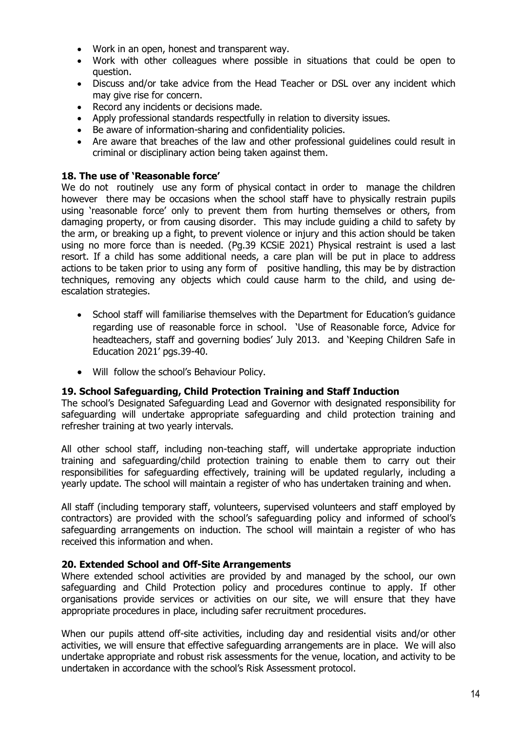- Work in an open, honest and transparent way.
- Work with other colleagues where possible in situations that could be open to question.
- Discuss and/or take advice from the Head Teacher or DSL over any incident which may give rise for concern.
- Record any incidents or decisions made.
- Apply professional standards respectfully in relation to diversity issues.
- Be aware of information-sharing and confidentiality policies.
- Are aware that breaches of the law and other professional guidelines could result in criminal or disciplinary action being taken against them.

#### **18. The use of 'Reasonable force'**

We do not routinely use any form of physical contact in order to manage the children however there may be occasions when the school staff have to physically restrain pupils using 'reasonable force' only to prevent them from hurting themselves or others, from damaging property, or from causing disorder. This may include guiding a child to safety by the arm, or breaking up a fight, to prevent violence or injury and this action should be taken using no more force than is needed. (Pg.39 KCSiE 2021) Physical restraint is used a last resort. If a child has some additional needs, a care plan will be put in place to address actions to be taken prior to using any form of positive handling, this may be by distraction techniques, removing any objects which could cause harm to the child, and using deescalation strategies.

- School staff will familiarise themselves with the Department for Education's guidance regarding use of reasonable force in school. 'Use of Reasonable force, Advice for headteachers, staff and governing bodies' July 2013. and 'Keeping Children Safe in Education 2021' pgs.39-40.
- Will follow the school's Behaviour Policy.

#### **19. School Safeguarding, Child Protection Training and Staff Induction**

The school's Designated Safeguarding Lead and Governor with designated responsibility for safeguarding will undertake appropriate safeguarding and child protection training and refresher training at two yearly intervals.

All other school staff, including non-teaching staff, will undertake appropriate induction training and safeguarding/child protection training to enable them to carry out their responsibilities for safeguarding effectively, training will be updated regularly, including a yearly update. The school will maintain a register of who has undertaken training and when.

All staff (including temporary staff, volunteers, supervised volunteers and staff employed by contractors) are provided with the school's safeguarding policy and informed of school's safeguarding arrangements on induction. The school will maintain a register of who has received this information and when.

#### **20. Extended School and Off-Site Arrangements**

Where extended school activities are provided by and managed by the school, our own safeguarding and Child Protection policy and procedures continue to apply. If other organisations provide services or activities on our site, we will ensure that they have appropriate procedures in place, including safer recruitment procedures.

When our pupils attend off-site activities, including day and residential visits and/or other activities, we will ensure that effective safeguarding arrangements are in place. We will also undertake appropriate and robust risk assessments for the venue, location, and activity to be undertaken in accordance with the school's Risk Assessment protocol.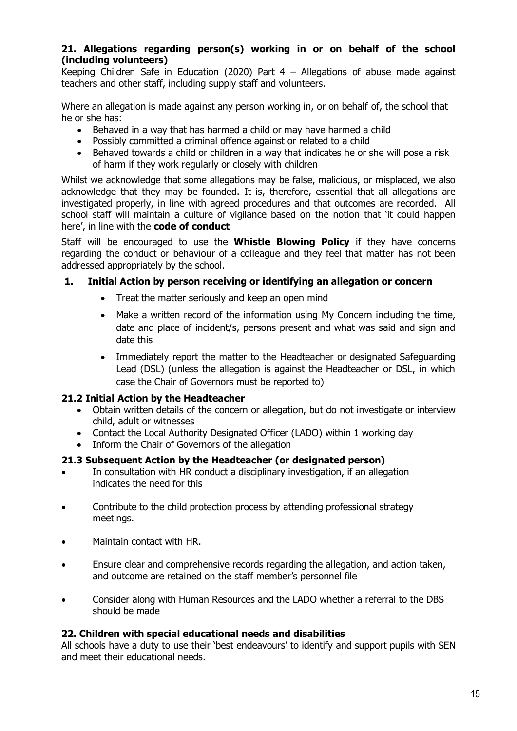#### **21. Allegations regarding person(s) working in or on behalf of the school (including volunteers)**

Keeping Children Safe in Education (2020) Part  $4 -$  Allegations of abuse made against teachers and other staff, including supply staff and volunteers.

Where an allegation is made against any person working in, or on behalf of, the school that he or she has:

- Behaved in a way that has harmed a child or may have harmed a child
- Possibly committed a criminal offence against or related to a child
- Behaved towards a child or children in a way that indicates he or she will pose a risk of harm if they work regularly or closely with children

Whilst we acknowledge that some allegations may be false, malicious, or misplaced, we also acknowledge that they may be founded. It is, therefore, essential that all allegations are investigated properly, in line with agreed procedures and that outcomes are recorded. All school staff will maintain a culture of vigilance based on the notion that 'it could happen here', in line with the **code of conduct**

Staff will be encouraged to use the **Whistle Blowing Policy** if they have concerns regarding the conduct or behaviour of a colleague and they feel that matter has not been addressed appropriately by the school.

#### **1. Initial Action by person receiving or identifying an allegation or concern**

- Treat the matter seriously and keep an open mind
- Make a written record of the information using My Concern including the time, date and place of incident/s, persons present and what was said and sign and date this
- Immediately report the matter to the Headteacher or designated Safeguarding Lead (DSL) (unless the allegation is against the Headteacher or DSL, in which case the Chair of Governors must be reported to)

#### **21.2 Initial Action by the Headteacher**

- Obtain written details of the concern or allegation, but do not investigate or interview child, adult or witnesses
- Contact the Local Authority Designated Officer (LADO) within 1 working day
- Inform the Chair of Governors of the allegation

# **21.3 Subsequent Action by the Headteacher (or designated person)**

- In consultation with HR conduct a disciplinary investigation, if an allegation indicates the need for this
- Contribute to the child protection process by attending professional strategy meetings.
- Maintain contact with HR.
- Ensure clear and comprehensive records regarding the allegation, and action taken, and outcome are retained on the staff member's personnel file
- Consider along with Human Resources and the LADO whether a referral to the DBS should be made

#### **22. Children with special educational needs and disabilities**

All schools have a duty to use their 'best endeavours' to identify and support pupils with SEN and meet their educational needs.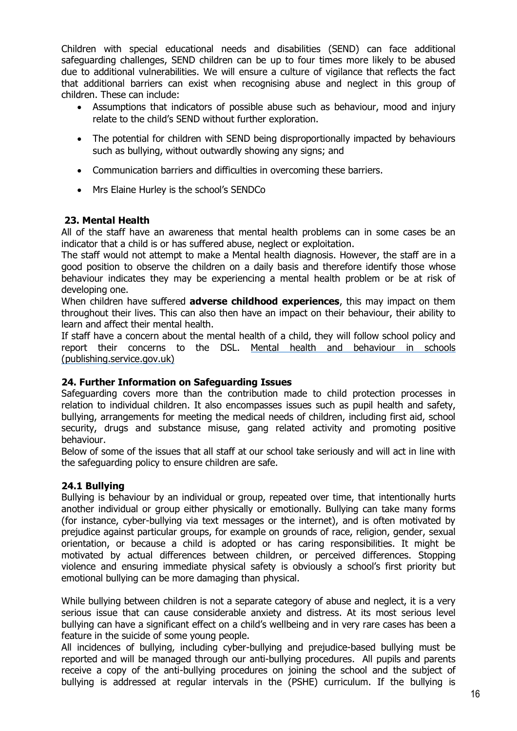Children with special educational needs and disabilities (SEND) can face additional safeguarding challenges, SEND children can be up to four times more likely to be abused due to additional vulnerabilities. We will ensure a culture of vigilance that reflects the fact that additional barriers can exist when recognising abuse and neglect in this group of children. These can include:

- Assumptions that indicators of possible abuse such as behaviour, mood and injury relate to the child's SEND without further exploration.
- The potential for children with SEND being disproportionally impacted by behaviours such as bullying, without outwardly showing any signs; and
- Communication barriers and difficulties in overcoming these barriers.
- Mrs Elaine Hurley is the school's SENDCo

#### **23. Mental Health**

All of the staff have an awareness that mental health problems can in some cases be an indicator that a child is or has suffered abuse, neglect or exploitation.

The staff would not attempt to make a Mental health diagnosis. However, the staff are in a good position to observe the children on a daily basis and therefore identify those whose behaviour indicates they may be experiencing a mental health problem or be at risk of developing one.

When children have suffered **adverse childhood experiences**, this may impact on them throughout their lives. This can also then have an impact on their behaviour, their ability to learn and affect their mental health.

If staff have a concern about the mental health of a child, they will follow school policy and report their concerns to the DSL. Mental health and [behaviour](https://assets.publishing.service.gov.uk/government/uploads/system/uploads/attachment_data/file/755135/Mental_health_and_behaviour_in_schools__.pdf) in schools [\(publishing.service.gov.uk\)](https://assets.publishing.service.gov.uk/government/uploads/system/uploads/attachment_data/file/755135/Mental_health_and_behaviour_in_schools__.pdf)

#### **24. Further Information on Safeguarding Issues**

Safeguarding covers more than the contribution made to child protection processes in relation to individual children. It also encompasses issues such as pupil health and safety, bullying, arrangements for meeting the medical needs of children, including first aid, school security, drugs and substance misuse, gang related activity and promoting positive behaviour.

Below of some of the issues that all staff at our school take seriously and will act in line with the safeguarding policy to ensure children are safe.

#### **24.1 Bullying**

Bullying is behaviour by an individual or group, repeated over time, that intentionally hurts another individual or group either physically or emotionally. Bullying can take many forms (for instance, cyber-bullying via text messages or the internet), and is often motivated by prejudice against particular groups, for example on grounds of race, religion, gender, sexual orientation, or because a child is adopted or has caring responsibilities. It might be motivated by actual differences between children, or perceived differences. Stopping violence and ensuring immediate physical safety is obviously a school's first priority but emotional bullying can be more damaging than physical.

While bullying between children is not a separate category of abuse and neglect, it is a very serious issue that can cause considerable anxiety and distress. At its most serious level bullying can have a significant effect on a child's wellbeing and in very rare cases has been a feature in the suicide of some young people.

All incidences of bullying, including cyber-bullying and prejudice-based bullying must be reported and will be managed through our anti-bullying procedures. All pupils and parents receive a copy of the anti-bullying procedures on joining the school and the subject of bullying is addressed at regular intervals in the (PSHE) curriculum. If the bullying is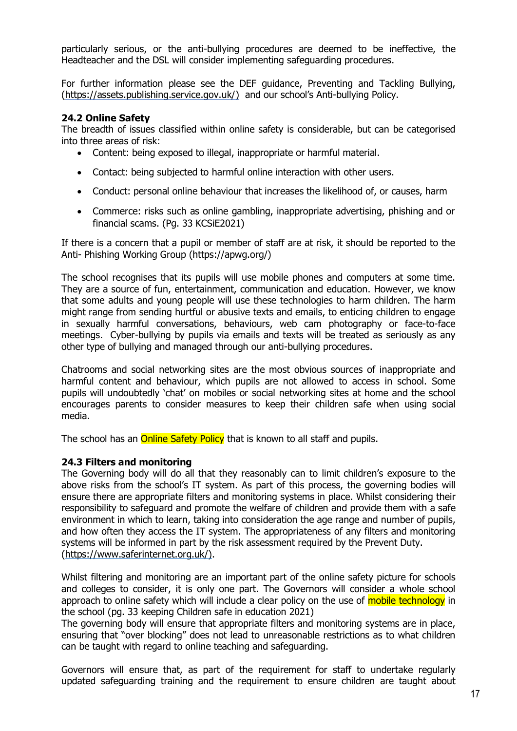particularly serious, or the anti-bullying procedures are deemed to be ineffective, the Headteacher and the DSL will consider implementing safeguarding procedures.

For further information please see the DEF guidance, Preventing and Tackling Bullying, [\(https://assets.publishing.service.gov.uk/\)](https://assets.publishing.service.gov.uk/) and our school's Anti-bullying Policy.

#### **24.2 Online Safety**

The breadth of issues classified within online safety is considerable, but can be categorised into three areas of risk:

- Content: being exposed to illegal, inappropriate or harmful material.
- Contact: being subjected to harmful online interaction with other users.
- Conduct: personal online behaviour that increases the likelihood of, or causes, harm
- Commerce: risks such as online gambling, inappropriate advertising, phishing and or financial scams. (Pg. 33 KCSiE2021)

If there is a concern that a pupil or member of staff are at risk, it should be reported to the Anti- Phishing Working Group (https://apwg.org/)

The school recognises that its pupils will use mobile phones and computers at some time. They are a source of fun, entertainment, communication and education. However, we know that some adults and young people will use these technologies to harm children. The harm might range from sending hurtful or abusive texts and emails, to enticing children to engage in sexually harmful conversations, behaviours, web cam photography or face-to-face meetings. Cyber-bullying by pupils via emails and texts will be treated as seriously as any other type of bullying and managed through our anti-bullying procedures.

Chatrooms and social networking sites are the most obvious sources of inappropriate and harmful content and behaviour, which pupils are not allowed to access in school. Some pupils will undoubtedly 'chat' on mobiles or social networking sites at home and the school encourages parents to consider measures to keep their children safe when using social media.

The school has an **Online Safety Policy** that is known to all staff and pupils.

#### **24.3 Filters and monitoring**

The Governing body will do all that they reasonably can to limit children's exposure to the above risks from the school's IT system. As part of this process, the governing bodies will ensure there are appropriate filters and monitoring systems in place. Whilst considering their responsibility to safeguard and promote the welfare of children and provide them with a safe environment in which to learn, taking into consideration the age range and number of pupils, and how often they access the IT system. The appropriateness of any filters and monitoring systems will be informed in part by the risk assessment required by the Prevent Duty. [\(https://www.saferinternet.org.uk/\)](https://www.saferinternet.org.uk/).

Whilst filtering and monitoring are an important part of the online safety picture for schools and colleges to consider, it is only one part. The Governors will consider a whole school approach to online safety which will include a clear policy on the use of **mobile technology** in the school (pg. 33 keeping Children safe in education 2021)

The governing body will ensure that appropriate filters and monitoring systems are in place, ensuring that "over blocking" does not lead to unreasonable restrictions as to what children can be taught with regard to online teaching and safeguarding.

Governors will ensure that, as part of the requirement for staff to undertake regularly updated safeguarding training and the requirement to ensure children are taught about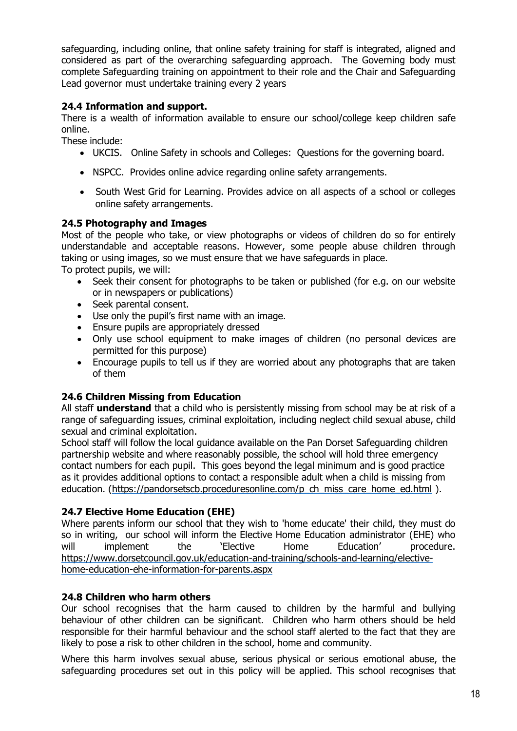safeguarding, including online, that online safety training for staff is integrated, aligned and considered as part of the overarching safeguarding approach. The Governing body must complete Safeguarding training on appointment to their role and the Chair and Safeguarding Lead governor must undertake training every 2 years

#### **24.4 Information and support.**

There is a wealth of information available to ensure our school/college keep children safe online.

These include:

- UKCIS. Online Safety in schools and Colleges: Questions for the governing board.
- NSPCC. Provides online advice regarding online safety arrangements.
- South West Grid for Learning. Provides advice on all aspects of a school or colleges online safety arrangements.

#### **24.5 Photography and Images**

Most of the people who take, or view photographs or videos of children do so for entirely understandable and acceptable reasons. However, some people abuse children through taking or using images, so we must ensure that we have safeguards in place.

To protect pupils, we will:

- Seek their consent for photographs to be taken or published (for e.g. on our website or in newspapers or publications)
- Seek parental consent.
- Use only the pupil's first name with an image.
- Ensure pupils are appropriately dressed
- Only use school equipment to make images of children (no personal devices are permitted for this purpose)
- Encourage pupils to tell us if they are worried about any photographs that are taken of them

#### **24.6 Children Missing from Education**

All staff **understand** that a child who is persistently missing from school may be at risk of a range of safeguarding issues, criminal exploitation, including neglect child sexual abuse, child sexual and criminal exploitation.

School staff will follow the local guidance available on the Pan Dorset Safeguarding children partnership website and where reasonably possible, the school will hold three emergency contact numbers for each pupil. This goes beyond the legal minimum and is good practice as it provides additional options to contact a responsible adult when a child is missing from education. [\(https://pandorsetscb.proceduresonline.com/p\\_ch\\_miss\\_care\\_home\\_ed.html](https://pandorsetscb.proceduresonline.com/p_ch_miss_care_home_ed.html) ).

#### **24.7 Elective Home Education (EHE)**

Where parents inform our school that they wish to 'home educate' their child, they must do so in writing, our school will inform the Elective Home Education administrator (EHE) who will implement the 'Elective Home Education' procedure. [https://www.dorsetcouncil.gov.uk/education-and-training/schools-and-learning/elective](https://www.dorsetcouncil.gov.uk/education-and-training/schools-and-learning/elective-home-education-ehe-information-for-parents.aspx)[home-education-ehe-information-for-parents.aspx](https://www.dorsetcouncil.gov.uk/education-and-training/schools-and-learning/elective-home-education-ehe-information-for-parents.aspx)

#### **24.8 Children who harm others**

Our school recognises that the harm caused to children by the harmful and bullying behaviour of other children can be significant. Children who harm others should be held responsible for their harmful behaviour and the school staff alerted to the fact that they are likely to pose a risk to other children in the school, home and community.

Where this harm involves sexual abuse, serious physical or serious emotional abuse, the safeguarding procedures set out in this policy will be applied. This school recognises that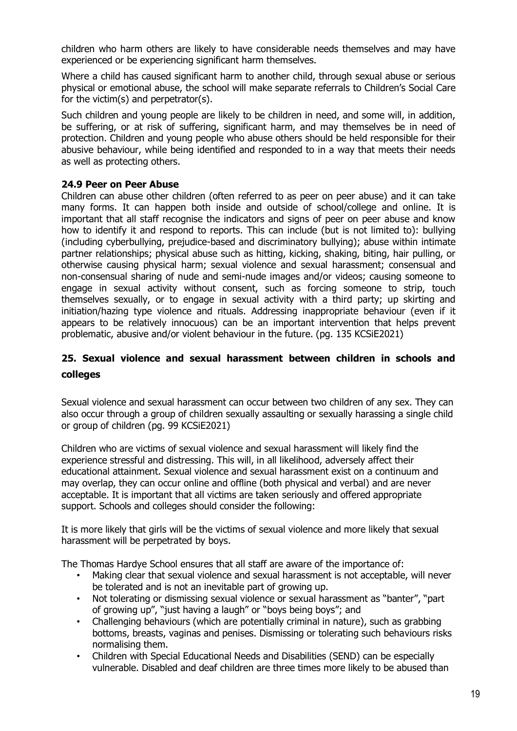children who harm others are likely to have considerable needs themselves and may have experienced or be experiencing significant harm themselves.

Where a child has caused significant harm to another child, through sexual abuse or serious physical or emotional abuse, the school will make separate referrals to Children's Social Care for the victim(s) and perpetrator(s).

Such children and young people are likely to be children in need, and some will, in addition, be suffering, or at risk of suffering, significant harm, and may themselves be in need of protection. Children and young people who abuse others should be held responsible for their abusive behaviour, while being identified and responded to in a way that meets their needs as well as protecting others.

#### **24.9 Peer on Peer Abuse**

Children can abuse other children (often referred to as peer on peer abuse) and it can take many forms. It can happen both inside and outside of school/college and online. It is important that all staff recognise the indicators and signs of peer on peer abuse and know how to identify it and respond to reports. This can include (but is not limited to): bullying (including cyberbullying, prejudice-based and discriminatory bullying); abuse within intimate partner relationships; physical abuse such as hitting, kicking, shaking, biting, hair pulling, or otherwise causing physical harm; sexual violence and sexual harassment; consensual and non-consensual sharing of nude and semi-nude images and/or videos; causing someone to engage in sexual activity without consent, such as forcing someone to strip, touch themselves sexually, or to engage in sexual activity with a third party; up skirting and initiation/hazing type violence and rituals. Addressing inappropriate behaviour (even if it appears to be relatively innocuous) can be an important intervention that helps prevent problematic, abusive and/or violent behaviour in the future. (pg. 135 KCSiE2021)

# **25. Sexual violence and sexual harassment between children in schools and colleges**

Sexual violence and sexual harassment can occur between two children of any sex. They can also occur through a group of children sexually assaulting or sexually harassing a single child or group of children (pg. 99 KCSiE2021)

Children who are victims of sexual violence and sexual harassment will likely find the experience stressful and distressing. This will, in all likelihood, adversely affect their educational attainment. Sexual violence and sexual harassment exist on a continuum and may overlap, they can occur online and offline (both physical and verbal) and are never acceptable. It is important that all victims are taken seriously and offered appropriate support. Schools and colleges should consider the following:

It is more likely that girls will be the victims of sexual violence and more likely that sexual harassment will be perpetrated by boys.

The Thomas Hardye School ensures that all staff are aware of the importance of:

- Making clear that sexual violence and sexual harassment is not acceptable, will never be tolerated and is not an inevitable part of growing up.
- Not tolerating or dismissing sexual violence or sexual harassment as "banter", "part of growing up", "just having a laugh" or "boys being boys"; and
- Challenging behaviours (which are potentially criminal in nature), such as grabbing bottoms, breasts, vaginas and penises. Dismissing or tolerating such behaviours risks normalising them.
- Children with Special Educational Needs and Disabilities (SEND) can be especially vulnerable. Disabled and deaf children are three times more likely to be abused than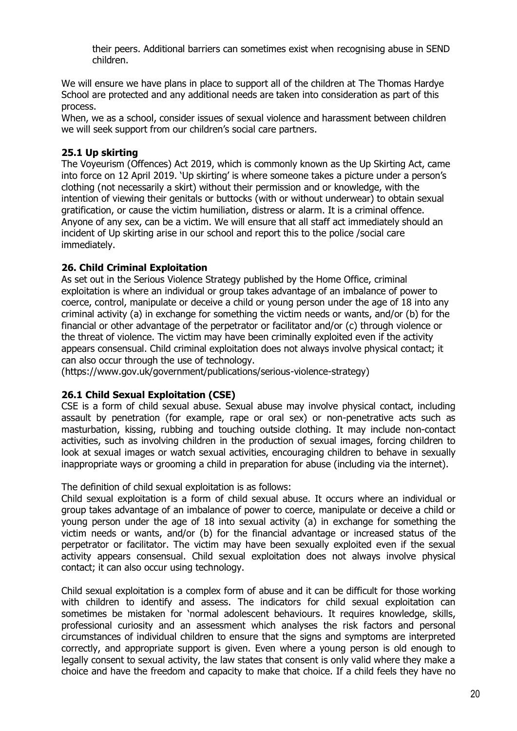their peers. Additional barriers can sometimes exist when recognising abuse in SEND children.

We will ensure we have plans in place to support all of the children at The Thomas Hardye School are protected and any additional needs are taken into consideration as part of this process.

When, we as a school, consider issues of sexual violence and harassment between children we will seek support from our children's social care partners.

#### **25.1 Up skirting**

The Voyeurism (Offences) Act 2019, which is commonly known as the Up Skirting Act, came into force on 12 April 2019. 'Up skirting' is where someone takes a picture under a person's clothing (not necessarily a skirt) without their permission and or knowledge, with the intention of viewing their genitals or buttocks (with or without underwear) to obtain sexual gratification, or cause the victim humiliation, distress or alarm. It is a criminal offence. Anyone of any sex, can be a victim. We will ensure that all staff act immediately should an incident of Up skirting arise in our school and report this to the police /social care immediately.

#### **26. Child Criminal Exploitation**

As set out in the Serious Violence Strategy published by the Home Office, criminal exploitation is where an individual or group takes advantage of an imbalance of power to coerce, control, manipulate or deceive a child or young person under the age of 18 into any criminal activity (a) in exchange for something the victim needs or wants, and/or (b) for the financial or other advantage of the perpetrator or facilitator and/or (c) through violence or the threat of violence. The victim may have been criminally exploited even if the activity appears consensual. Child criminal exploitation does not always involve physical contact; it can also occur through the use of technology.

[\(https://www.gov.uk/government/publications/serious-violence-strategy\)](https://www.gov.uk/government/publications/serious-violence-strategy)

#### **26.1 Child Sexual Exploitation (CSE)**

CSE is a form of child sexual abuse. Sexual abuse may involve physical contact, including assault by penetration (for example, rape or oral sex) or non-penetrative acts such as masturbation, kissing, rubbing and touching outside clothing. It may include non-contact activities, such as involving children in the production of sexual images, forcing children to look at sexual images or watch sexual activities, encouraging children to behave in sexually inappropriate ways or grooming a child in preparation for abuse (including via the internet).

The definition of child sexual exploitation is as follows:

Child sexual exploitation is a form of child sexual abuse. It occurs where an individual or group takes advantage of an imbalance of power to coerce, manipulate or deceive a child or young person under the age of 18 into sexual activity (a) in exchange for something the victim needs or wants, and/or (b) for the financial advantage or increased status of the perpetrator or facilitator. The victim may have been sexually exploited even if the sexual activity appears consensual. Child sexual exploitation does not always involve physical contact; it can also occur using technology.

Child sexual exploitation is a complex form of abuse and it can be difficult for those working with children to identify and assess. The indicators for child sexual exploitation can sometimes be mistaken for 'normal adolescent behaviours. It requires knowledge, skills, professional curiosity and an assessment which analyses the risk factors and personal circumstances of individual children to ensure that the signs and symptoms are interpreted correctly, and appropriate support is given. Even where a young person is old enough to legally consent to sexual activity, the law states that consent is only valid where they make a choice and have the freedom and capacity to make that choice. If a child feels they have no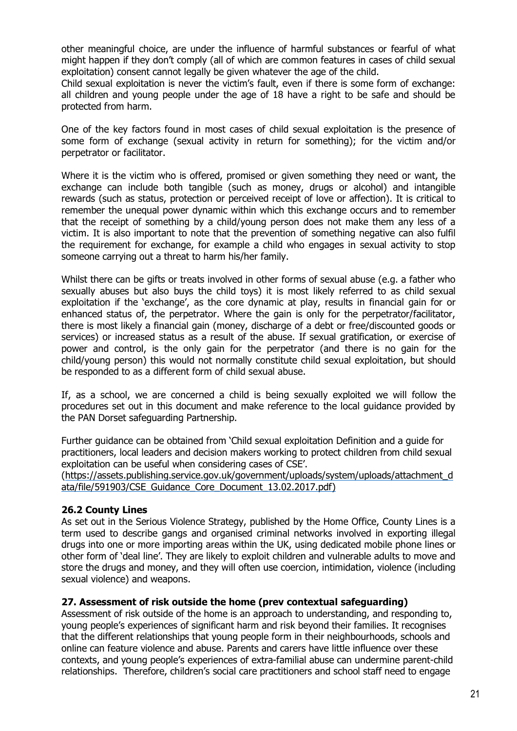other meaningful choice, are under the influence of harmful substances or fearful of what might happen if they don't comply (all of which are common features in cases of child sexual exploitation) consent cannot legally be given whatever the age of the child.

Child sexual exploitation is never the victim's fault, even if there is some form of exchange: all children and young people under the age of 18 have a right to be safe and should be protected from harm.

One of the key factors found in most cases of child sexual exploitation is the presence of some form of exchange (sexual activity in return for something); for the victim and/or perpetrator or facilitator.

Where it is the victim who is offered, promised or given something they need or want, the exchange can include both tangible (such as money, drugs or alcohol) and intangible rewards (such as status, protection or perceived receipt of love or affection). It is critical to remember the unequal power dynamic within which this exchange occurs and to remember that the receipt of something by a child/young person does not make them any less of a victim. It is also important to note that the prevention of something negative can also fulfil the requirement for exchange, for example a child who engages in sexual activity to stop someone carrying out a threat to harm his/her family.

Whilst there can be gifts or treats involved in other forms of sexual abuse (e.g. a father who sexually abuses but also buys the child toys) it is most likely referred to as child sexual exploitation if the 'exchange', as the core dynamic at play, results in financial gain for or enhanced status of, the perpetrator. Where the gain is only for the perpetrator/facilitator, there is most likely a financial gain (money, discharge of a debt or free/discounted goods or services) or increased status as a result of the abuse. If sexual gratification, or exercise of power and control, is the only gain for the perpetrator (and there is no gain for the child/young person) this would not normally constitute child sexual exploitation, but should be responded to as a different form of child sexual abuse.

If, as a school, we are concerned a child is being sexually exploited we will follow the procedures set out in this document and make reference to the local guidance provided by the PAN Dorset safeguarding Partnership.

Further guidance can be obtained from 'Child sexual exploitation Definition and a guide for practitioners, local leaders and decision makers working to protect children from child sexual exploitation can be useful when considering cases of CSE'.

[\(https://assets.publishing.service.gov.uk/government/uploads/system/uploads/attachment\\_d](https://assets.publishing.service.gov.uk/government/uploads/system/uploads/attachment_data/file/591903/CSE_Guidance_Core_Document_13.02.2017.pdf) ata/file/591903/CSE Guidance Core Document 13.02.2017.pdf)

#### **26.2 County Lines**

As set out in the Serious Violence Strategy, published by the Home Office, County Lines is a term used to describe gangs and organised criminal networks involved in exporting illegal drugs into one or more importing areas within the UK, using dedicated mobile phone lines or other form of 'deal line'. They are likely to exploit children and vulnerable adults to move and store the drugs and money, and they will often use coercion, intimidation, violence (including sexual violence) and weapons.

#### **27. Assessment of risk outside the home (prev contextual safeguarding)**

Assessment of risk outside of the home is an approach to understanding, and responding to, young people's experiences of significant harm and risk beyond their families. It recognises that the different relationships that young people form in their neighbourhoods, schools and online can feature violence and abuse. Parents and carers have little influence over these contexts, and young people's experiences of extra-familial abuse can undermine parent-child relationships. Therefore, children's social care practitioners and school staff need to engage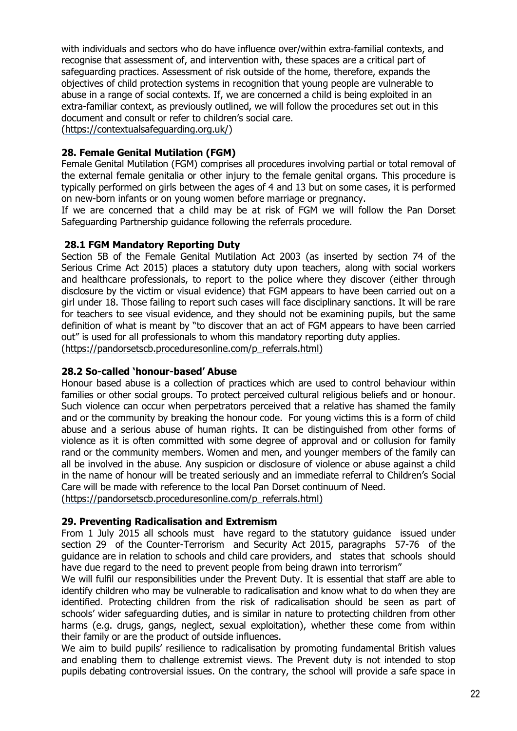with individuals and sectors who do have influence over/within extra-familial contexts, and recognise that assessment of, and intervention with, these spaces are a critical part of safeguarding practices. Assessment of risk outside of the home, therefore, expands the objectives of child protection systems in recognition that young people are vulnerable to abuse in a range of social contexts. If, we are concerned a child is being exploited in an extra-familiar context, as previously outlined, we will follow the procedures set out in this document and consult or refer to children's social care.

[\(https://contextualsafeguarding.org.uk/\)](https://contextualsafeguarding.org.uk/)

#### **28. Female Genital Mutilation (FGM)**

Female Genital Mutilation (FGM) comprises all procedures involving partial or total removal of the external female genitalia or other injury to the female genital organs. This procedure is typically performed on girls between the ages of 4 and 13 but on some cases, it is performed on new-born infants or on young women before marriage or pregnancy.

If we are concerned that a child may be at risk of FGM we will follow the Pan Dorset Safeguarding Partnership guidance following the referrals procedure.

#### **28.1 FGM Mandatory Reporting Duty**

Section 5B of the Female Genital Mutilation Act 2003 (as inserted by section 74 of the Serious Crime Act 2015) places a statutory duty upon teachers, along with social workers and healthcare professionals, to report to the police where they discover (either through disclosure by the victim or visual evidence) that FGM appears to have been carried out on a girl under 18. Those failing to report such cases will face disciplinary sanctions. It will be rare for teachers to see visual evidence, and they should not be examining pupils, but the same definition of what is meant by "to discover that an act of FGM appears to have been carried out" is used for all professionals to whom this mandatory reporting duty applies. [\(https://pandorsetscb.proceduresonline.com/p\\_referrals.html\)](https://pandorsetscb.proceduresonline.com/p_referrals.html)

**28.2 So-called 'honour-based' Abuse**

Honour based abuse is a collection of practices which are used to control behaviour within families or other social groups. To protect perceived cultural religious beliefs and or honour. Such violence can occur when perpetrators perceived that a relative has shamed the family and or the community by breaking the honour code. For young victims this is a form of child abuse and a serious abuse of human rights. It can be distinguished from other forms of violence as it is often committed with some degree of approval and or collusion for family rand or the community members. Women and men, and younger members of the family can all be involved in the abuse. Any suspicion or disclosure of violence or abuse against a child in the name of honour will be treated seriously and an immediate referral to Children's Social Care will be made with reference to the local Pan Dorset continuum of Need. [\(https://pandorsetscb.proceduresonline.com/p\\_referrals.html\)](https://pandorsetscb.proceduresonline.com/p_referrals.html)

#### **29. Preventing Radicalisation and Extremism**

From 1 July 2015 all schools must have regard to the statutory guidance issued under section 29 of the Counter-Terrorism and Security Act 2015, paragraphs 57-76 of the guidance are in relation to schools and child care providers, and states that schools should have due regard to the need to prevent people from being drawn into terrorism"

We will fulfil our responsibilities under the Prevent Duty. It is essential that staff are able to identify children who may be vulnerable to radicalisation and know what to do when they are identified. Protecting children from the risk of radicalisation should be seen as part of schools' wider safeguarding duties, and is similar in nature to protecting children from other harms (e.g. drugs, gangs, neglect, sexual exploitation), whether these come from within their family or are the product of outside influences.

We aim to build pupils' resilience to radicalisation by promoting fundamental British values and enabling them to challenge extremist views. The Prevent duty is not intended to stop pupils debating controversial issues. On the contrary, the school will provide a safe space in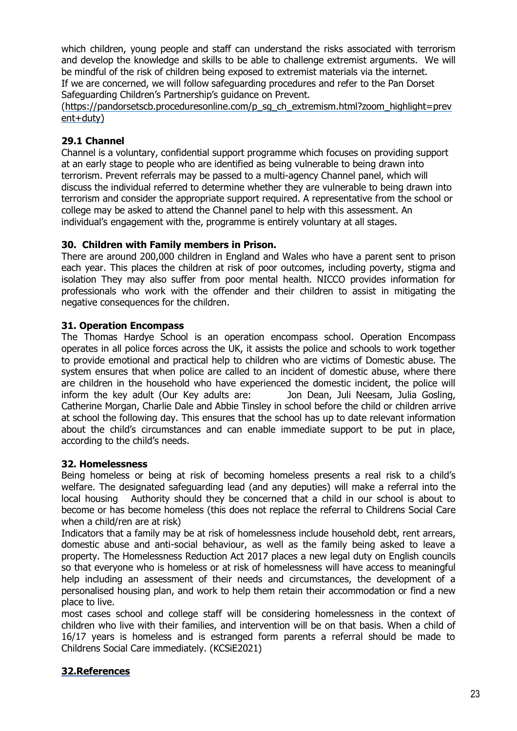which children, young people and staff can understand the risks associated with terrorism and develop the knowledge and skills to be able to challenge extremist arguments. We will be mindful of the risk of children being exposed to extremist materials via the internet. If we are concerned, we will follow safeguarding procedures and refer to the Pan Dorset Safeguarding Children's Partnership's guidance on Prevent.

[\(https://pandorsetscb.proceduresonline.com/p\\_sg\\_ch\\_extremism.html?zoom\\_highlight=prev](https://pandorsetscb.proceduresonline.com/p_sg_ch_extremism.html?zoom_highlight=prevent+duty) [ent+duty\)](https://pandorsetscb.proceduresonline.com/p_sg_ch_extremism.html?zoom_highlight=prevent+duty)

#### **29.1 Channel**

Channel is a voluntary, confidential support programme which focuses on providing support at an early stage to people who are identified as being vulnerable to being drawn into terrorism. Prevent referrals may be passed to a multi-agency Channel panel, which will discuss the individual referred to determine whether they are vulnerable to being drawn into terrorism and consider the appropriate support required. A representative from the school or college may be asked to attend the Channel panel to help with this assessment. An individual's engagement with the, programme is entirely voluntary at all stages.

#### **30. Children with Family members in Prison.**

There are around 200,000 children in England and Wales who have a parent sent to prison each year. This places the children at risk of poor outcomes, including poverty, stigma and isolation They may also suffer from poor mental health. NICCO provides information for professionals who work with the offender and their children to assist in mitigating the negative consequences for the children.

#### **31. Operation Encompass**

The Thomas Hardye School is an operation encompass school. Operation Encompass operates in all police forces across the UK, it assists the police and schools to work together to provide emotional and practical help to children who are victims of Domestic abuse. The system ensures that when police are called to an incident of domestic abuse, where there are children in the household who have experienced the domestic incident, the police will inform the key adult (Our Key adults are: Jon Dean, Juli Neesam, Julia Gosling, Catherine Morgan, Charlie Dale and Abbie Tinsley in school before the child or children arrive at school the following day. This ensures that the school has up to date relevant information about the child's circumstances and can enable immediate support to be put in place, according to the child's needs.

#### **32. Homelessness**

Being homeless or being at risk of becoming homeless presents a real risk to a child's welfare. The designated safeguarding lead (and any deputies) will make a referral into the local housing Authority should they be concerned that a child in our school is about to become or has become homeless (this does not replace the referral to Childrens Social Care when a child/ren are at risk)

Indicators that a family may be at risk of homelessness include household debt, rent arrears, domestic abuse and anti-social behaviour, as well as the family being asked to leave a property. The Homelessness Reduction Act 2017 places a new legal duty on English councils so that everyone who is homeless or at risk of homelessness will have access to meaningful help including an assessment of their needs and circumstances, the development of a personalised housing plan, and work to help them retain their accommodation or find a new place to live.

most cases school and college staff will be considering homelessness in the context of children who live with their families, and intervention will be on that basis. When a child of 16/17 years is homeless and is estranged form parents a referral should be made to Childrens Social Care immediately. (KCSiE2021)

# **32.References**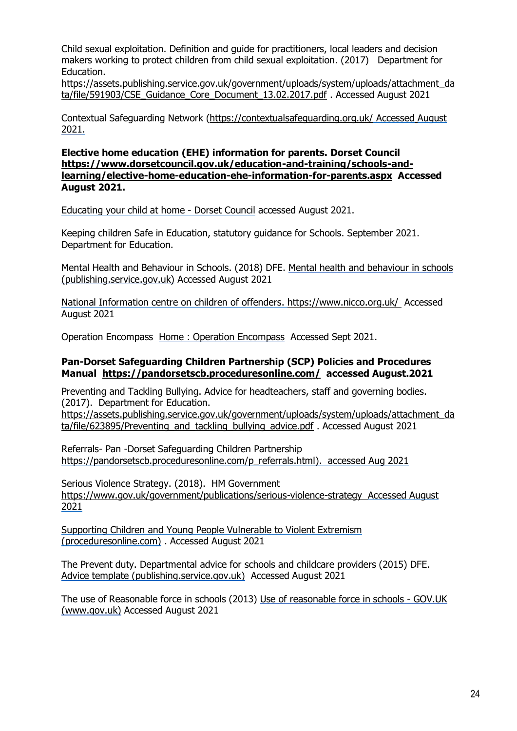Child sexual exploitation. Definition and guide for practitioners, local leaders and decision makers working to protect children from child sexual exploitation. (2017) Department for Education.

[https://assets.publishing.service.gov.uk/government/uploads/system/uploads/attachment\\_da](https://assets.publishing.service.gov.uk/government/uploads/system/uploads/attachment_data/file/591903/CSE_Guidance_Core_Document_13.02.2017.pdf) [ta/file/591903/CSE\\_Guidance\\_Core\\_Document\\_13.02.2017.pdf](https://assets.publishing.service.gov.uk/government/uploads/system/uploads/attachment_data/file/591903/CSE_Guidance_Core_Document_13.02.2017.pdf) . Accessed August 2021

Contextual Safeguarding Network [\(https://contextualsafeguarding.org.uk/](https://contextualsafeguarding.org.uk/) Accessed August 2021.

**Elective home education (EHE) information for parents. Dorset Council [https://www.dorsetcouncil.gov.uk/education-and-training/schools-and](https://www.dorsetcouncil.gov.uk/education-and-training/schools-and-learning/elective-home-education-ehe-information-for-parents.aspx)[learning/elective-home-education-ehe-information-for-parents.aspx](https://www.dorsetcouncil.gov.uk/education-and-training/schools-and-learning/elective-home-education-ehe-information-for-parents.aspx) Accessed August 2021.**

[Educating](https://www.dorsetcouncil.gov.uk/education-and-training/schools-and-learning/elective-home-education-ehe-information-for-parents) your child at home - Dorset Council accessed August 2021.

Keeping children Safe in Education, statutory guidance for Schools. September 2021. Department for Education.

Mental Health and Behaviour in Schools. (2018) DFE. Mental health and [behaviour](https://assets.publishing.service.gov.uk/government/uploads/system/uploads/attachment_data/file/755135/Mental_health_and_behaviour_in_schools__.pdf) in schools [\(publishing.service.gov.uk\)](https://assets.publishing.service.gov.uk/government/uploads/system/uploads/attachment_data/file/755135/Mental_health_and_behaviour_in_schools__.pdf) Accessed August 2021

National Information centre on children of offenders. <https://www.nicco.org.uk/> Accessed August 2021

Operation Encompass Home : Operation [Encompass](https://www.operationencompass.org/) Accessed Sept 2021.

#### **Pan-Dorset Safeguarding Children Partnership (SCP) Policies and Procedures Manual <https://pandorsetscb.proceduresonline.com/>accessed August.2021**

Preventing and Tackling Bullying. Advice for headteachers, staff and governing bodies. (2017). Department for Education.

[https://assets.publishing.service.gov.uk/government/uploads/system/uploads/attachment\\_da](https://assets.publishing.service.gov.uk/government/uploads/system/uploads/attachment_data/file/623895/Preventing_and_tackling_bullying_advice.pdf) [ta/file/623895/Preventing\\_and\\_tackling\\_bullying\\_advice.pdf](https://assets.publishing.service.gov.uk/government/uploads/system/uploads/attachment_data/file/623895/Preventing_and_tackling_bullying_advice.pdf) . Accessed August 2021

Referrals- Pan -Dorset Safeguarding Children Partnership [https://pandorsetscb.proceduresonline.com/p\\_referrals.html\)](https://pandorsetscb.proceduresonline.com/p_referrals.html). accessed Aug 2021

Serious Violence Strategy. (2018). HM Government <https://www.gov.uk/government/publications/serious-violence-strategy>Accessed August 2021

[Supporting](https://pandorsetscb.proceduresonline.com/p_sg_ch_extremism.html) Children and Young People Vulnerable to Violent Extremism [\(proceduresonline.com\)](https://pandorsetscb.proceduresonline.com/p_sg_ch_extremism.html) . Accessed August 2021

The Prevent duty. Departmental advice for schools and childcare providers (2015) DFE. Advice template [\(publishing.service.gov.uk\)](https://assets.publishing.service.gov.uk/government/uploads/system/uploads/attachment_data/file/439598/prevent-duty-departmental-advice-v6.pdf) Accessed August 2021

The use of Reasonable force in schools (2013) Use of reasonable force in schools - GOV.UK (www.gov.uk) Accessed August 2021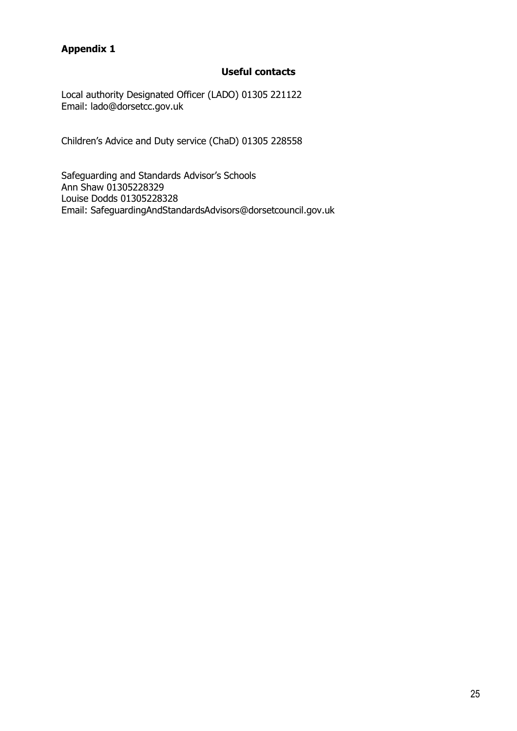# **Appendix 1**

#### **Useful contacts**

Local authority Designated Officer (LADO) 01305 221122 Email: lado@dorsetcc.gov.uk

Children's Advice and Duty service (ChaD) 01305 228558

Safeguarding and Standards Advisor's Schools Ann Shaw 01305228329 Louise Dodds 01305228328 Email: SafeguardingAndStandardsAdvisors@dorsetcouncil.gov.uk